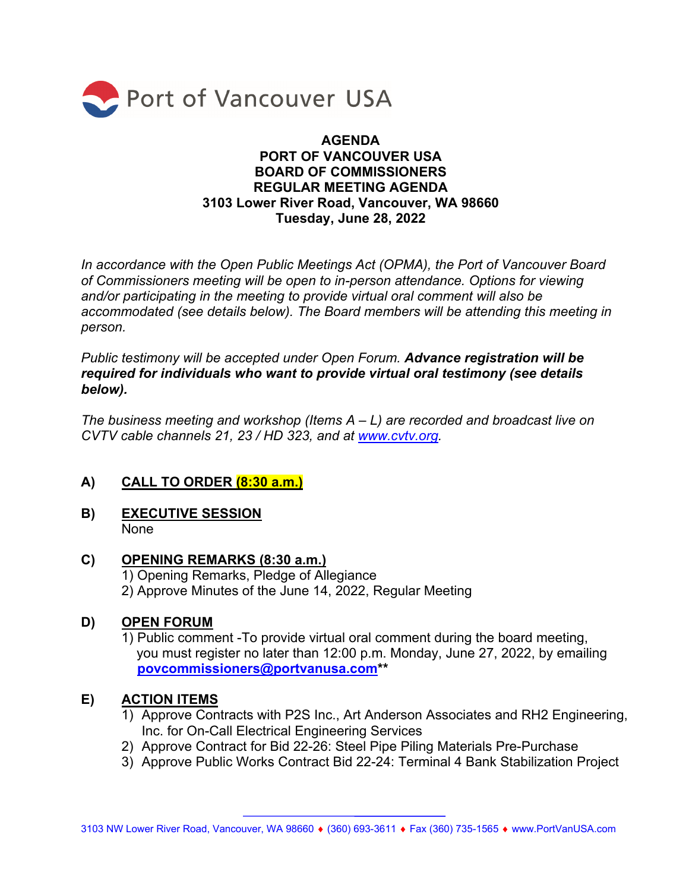

#### **AGENDA PORT OF VANCOUVER USA BOARD OF COMMISSIONERS REGULAR MEETING AGENDA 3103 Lower River Road, Vancouver, WA 98660 Tuesday, June 28, 2022**

*In accordance with the Open Public Meetings Act (OPMA), the Port of Vancouver Board of Commissioners meeting will be open to in-person attendance. Options for viewing and/or participating in the meeting to provide virtual oral comment will also be accommodated (see details below). The Board members will be attending this meeting in person.* 

*Public testimony will be accepted under Open Forum. Advance registration will be required for individuals who want to provide virtual oral testimony (see details below).* 

*The business meeting and workshop (Items A – L) are recorded and broadcast live on CVTV cable channels 21, 23 / HD 323, and at www.cvtv.org.* 

#### **A) CALL TO ORDER (8:30 a.m.)**

**B) EXECUTIVE SESSION**  None

#### **C) OPENING REMARKS (8:30 a.m.)**

 1) Opening Remarks, Pledge of Allegiance 2) Approve Minutes of the June 14, 2022, Regular Meeting

#### **D) OPEN FORUM**

1) Public comment -To provide virtual oral comment during the board meeting, you must register no later than 12:00 p.m. Monday, June 27, 2022, by emailing **povcommissioners@portvanusa.com\*\*** 

#### **E) ACTION ITEMS**

- 1) Approve Contracts with P2S Inc., Art Anderson Associates and RH2 Engineering, Inc. for On-Call Electrical Engineering Services
- 2) Approve Contract for Bid 22-26: Steel Pipe Piling Materials Pre-Purchase
- 3) Approve Public Works Contract Bid 22-24: Terminal 4 Bank Stabilization Project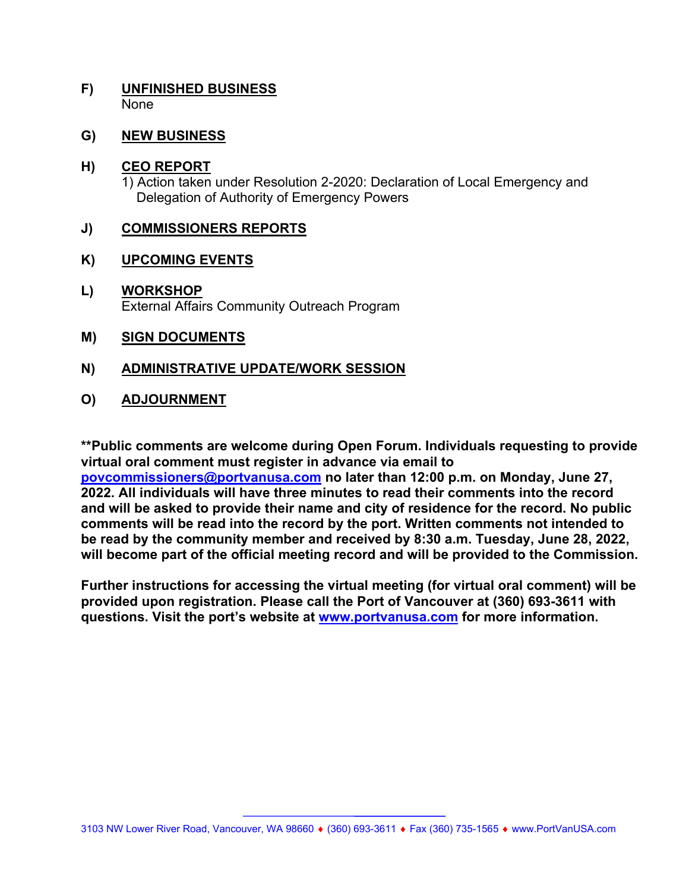#### **F) UNFINISHED BUSINESS**  None

#### **G) NEW BUSINESS**

#### **H) CEO REPORT**

1) Action taken under Resolution 2-2020: Declaration of Local Emergency and Delegation of Authority of Emergency Powers

#### **J) COMMISSIONERS REPORTS**

#### **K) UPCOMING EVENTS**

#### **L) WORKSHOP**  External Affairs Community Outreach Program

#### **M) SIGN DOCUMENTS**

#### **N) ADMINISTRATIVE UPDATE/WORK SESSION**

#### **O) ADJOURNMENT**

**\*\*Public comments are welcome during Open Forum. Individuals requesting to provide virtual oral comment must register in advance via email to** 

**povcommissioners@portvanusa.com no later than 12:00 p.m. on Monday, June 27, 2022. All individuals will have three minutes to read their comments into the record and will be asked to provide their name and city of residence for the record. No public comments will be read into the record by the port. Written comments not intended to be read by the community member and received by 8:30 a.m. Tuesday, June 28, 2022, will become part of the official meeting record and will be provided to the Commission.** 

**Further instructions for accessing the virtual meeting (for virtual oral comment) will be provided upon registration. Please call the Port of Vancouver at (360) 693-3611 with questions. Visit the port's website at www.portvanusa.com for more information.**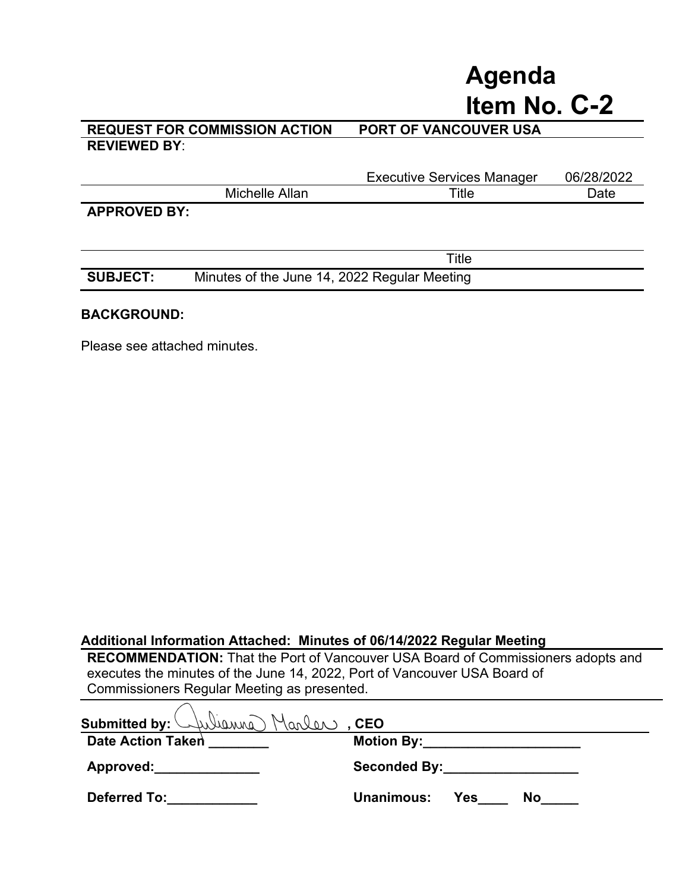# **Agenda Item No. C-2**

#### **REQUEST FOR COMMISSION ACTION PORT OF VANCOUVER USA REVIEWED BY**:

**SUBJECT:** Minutes of the June 14, 2022 Regular Meeting

|                     |                | <b>Executive Services Manager</b> | 06/28/2022 |
|---------------------|----------------|-----------------------------------|------------|
|                     | Michelle Allan | Title                             | Date       |
| <b>APPROVED BY:</b> |                |                                   |            |
|                     |                |                                   |            |
|                     |                |                                   |            |
|                     |                | Title                             |            |

#### **BACKGROUND:**

Please see attached minutes.

#### **Additional Information Attached: Minutes of 06/14/2022 Regular Meeting**

**RECOMMENDATION:** That the Port of Vancouver USA Board of Commissioners adopts and executes the minutes of the June 14, 2022, Port of Vancouver USA Board of Commissioners Regular Meeting as presented.

| Submitted by: Wellewing Marler, CEO |                                                                                                                                                                                                                                |
|-------------------------------------|--------------------------------------------------------------------------------------------------------------------------------------------------------------------------------------------------------------------------------|
| Date Action Taken                   | Motion By: the control of the control of the control of the control of the control of the control of the control of the control of the control of the control of the control of the control of the control of the control of t |
| Approved: Approved:                 | Seconded By: the control of the control of the control of the control of the control of the control of the control of the control of the control of the control of the control of the control of the control of the control of |
| <b>Deferred To:</b>                 | <b>Unanimous:</b><br>Yes<br>No.                                                                                                                                                                                                |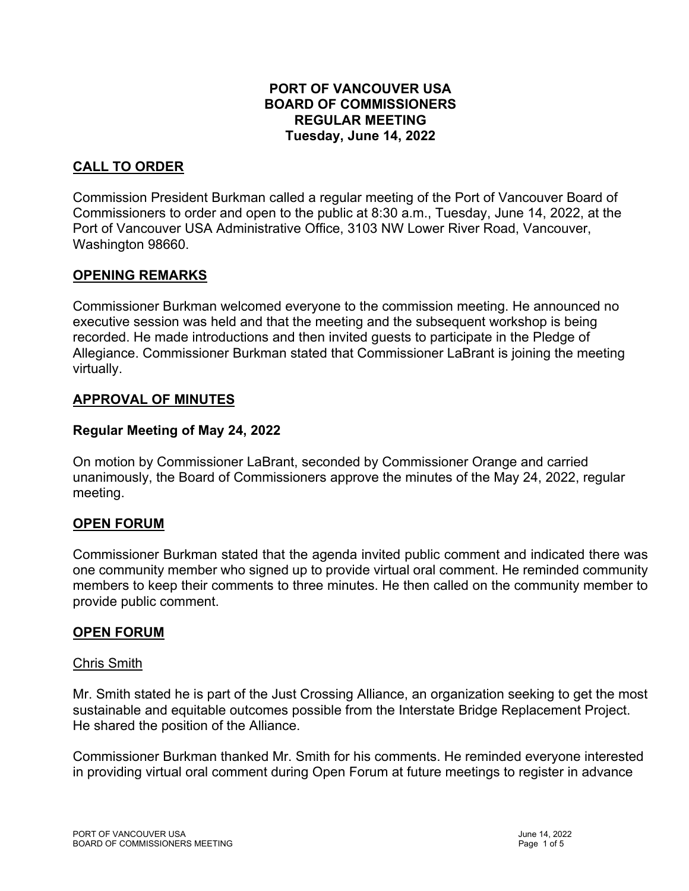#### **PORT OF VANCOUVER USA BOARD OF COMMISSIONERS REGULAR MEETING Tuesday, June 14, 2022**

### **CALL TO ORDER**

Commission President Burkman called a regular meeting of the Port of Vancouver Board of Commissioners to order and open to the public at 8:30 a.m., Tuesday, June 14, 2022, at the Port of Vancouver USA Administrative Office, 3103 NW Lower River Road, Vancouver, Washington 98660.

#### **OPENING REMARKS**

Commissioner Burkman welcomed everyone to the commission meeting. He announced no executive session was held and that the meeting and the subsequent workshop is being recorded. He made introductions and then invited guests to participate in the Pledge of Allegiance. Commissioner Burkman stated that Commissioner LaBrant is joining the meeting virtually.

#### **APPROVAL OF MINUTES**

#### **Regular Meeting of May 24, 2022**

On motion by Commissioner LaBrant, seconded by Commissioner Orange and carried unanimously, the Board of Commissioners approve the minutes of the May 24, 2022, regular meeting.

#### **OPEN FORUM**

Commissioner Burkman stated that the agenda invited public comment and indicated there was one community member who signed up to provide virtual oral comment. He reminded community members to keep their comments to three minutes. He then called on the community member to provide public comment.

#### **OPEN FORUM**

#### Chris Smith

Mr. Smith stated he is part of the Just Crossing Alliance, an organization seeking to get the most sustainable and equitable outcomes possible from the Interstate Bridge Replacement Project. He shared the position of the Alliance.

Commissioner Burkman thanked Mr. Smith for his comments. He reminded everyone interested in providing virtual oral comment during Open Forum at future meetings to register in advance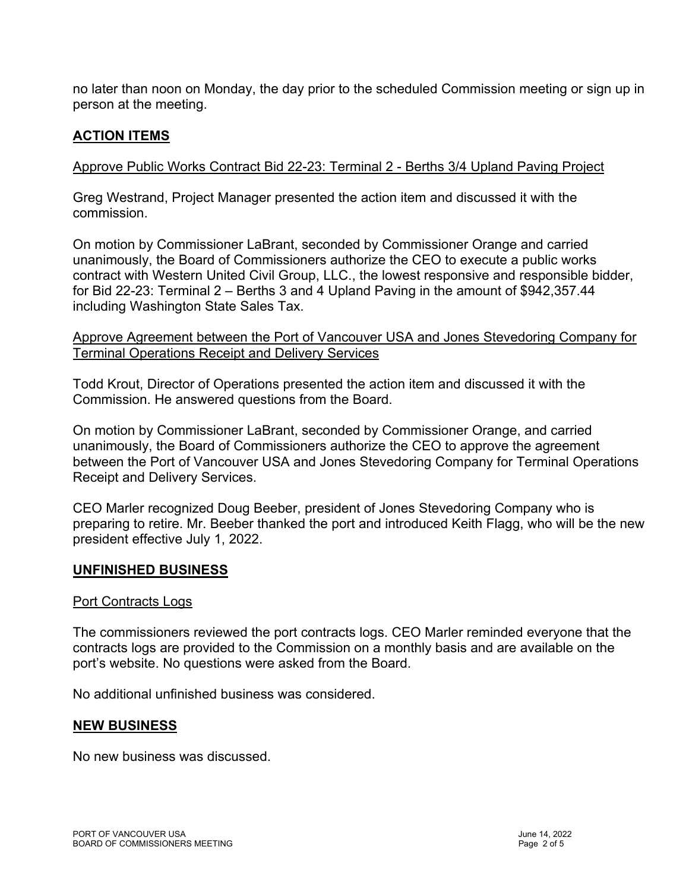no later than noon on Monday, the day prior to the scheduled Commission meeting or sign up in person at the meeting.

#### **ACTION ITEMS**

#### Approve Public Works Contract Bid 22-23: Terminal 2 - Berths 3/4 Upland Paving Project

Greg Westrand, Project Manager presented the action item and discussed it with the commission.

On motion by Commissioner LaBrant, seconded by Commissioner Orange and carried unanimously, the Board of Commissioners authorize the CEO to execute a public works contract with Western United Civil Group, LLC., the lowest responsive and responsible bidder, for Bid 22-23: Terminal 2 – Berths 3 and 4 Upland Paving in the amount of \$942,357.44 including Washington State Sales Tax.

Approve Agreement between the Port of Vancouver USA and Jones Stevedoring Company for Terminal Operations Receipt and Delivery Services

Todd Krout, Director of Operations presented the action item and discussed it with the Commission. He answered questions from the Board.

On motion by Commissioner LaBrant, seconded by Commissioner Orange, and carried unanimously, the Board of Commissioners authorize the CEO to approve the agreement between the Port of Vancouver USA and Jones Stevedoring Company for Terminal Operations Receipt and Delivery Services.

CEO Marler recognized Doug Beeber, president of Jones Stevedoring Company who is preparing to retire. Mr. Beeber thanked the port and introduced Keith Flagg, who will be the new president effective July 1, 2022.

#### **UNFINISHED BUSINESS**

#### Port Contracts Logs

The commissioners reviewed the port contracts logs. CEO Marler reminded everyone that the contracts logs are provided to the Commission on a monthly basis and are available on the port's website. No questions were asked from the Board.

No additional unfinished business was considered.

#### **NEW BUSINESS**

No new business was discussed.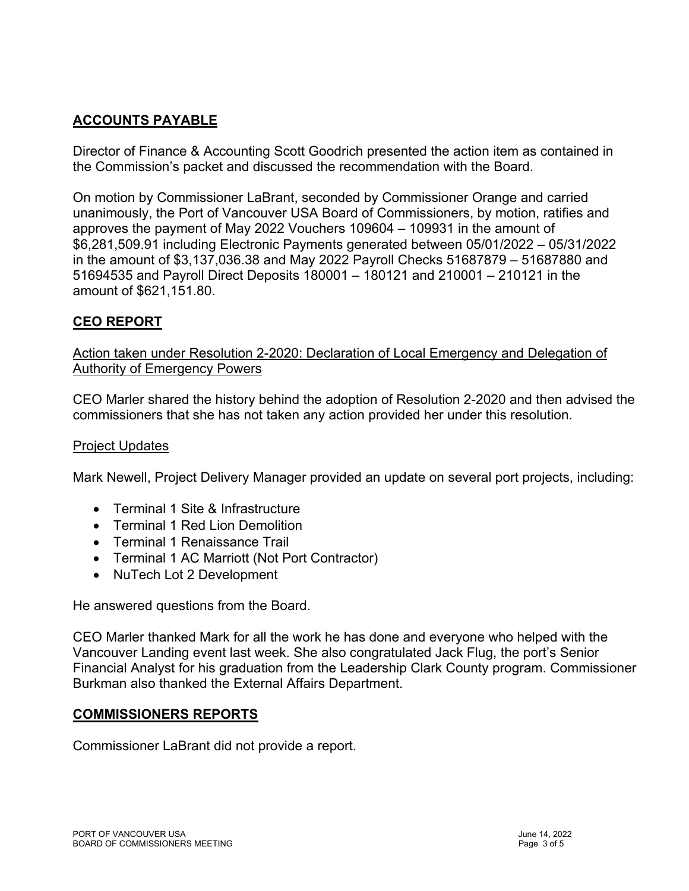## **ACCOUNTS PAYABLE**

Director of Finance & Accounting Scott Goodrich presented the action item as contained in the Commission's packet and discussed the recommendation with the Board.

On motion by Commissioner LaBrant, seconded by Commissioner Orange and carried unanimously, the Port of Vancouver USA Board of Commissioners, by motion, ratifies and approves the payment of May 2022 Vouchers 109604 – 109931 in the amount of \$6,281,509.91 including Electronic Payments generated between 05/01/2022 – 05/31/2022 in the amount of \$3,137,036.38 and May 2022 Payroll Checks 51687879 – 51687880 and 51694535 and Payroll Direct Deposits 180001 – 180121 and 210001 – 210121 in the amount of \$621,151.80.

#### **CEO REPORT**

Action taken under Resolution 2-2020: Declaration of Local Emergency and Delegation of Authority of Emergency Powers

CEO Marler shared the history behind the adoption of Resolution 2-2020 and then advised the commissioners that she has not taken any action provided her under this resolution.

#### Project Updates

Mark Newell, Project Delivery Manager provided an update on several port projects, including:

- Terminal 1 Site & Infrastructure
- Terminal 1 Red Lion Demolition
- Terminal 1 Renaissance Trail
- Terminal 1 AC Marriott (Not Port Contractor)
- NuTech Lot 2 Development

He answered questions from the Board.

CEO Marler thanked Mark for all the work he has done and everyone who helped with the Vancouver Landing event last week. She also congratulated Jack Flug, the port's Senior Financial Analyst for his graduation from the Leadership Clark County program. Commissioner Burkman also thanked the External Affairs Department.

#### **COMMISSIONERS REPORTS**

Commissioner LaBrant did not provide a report.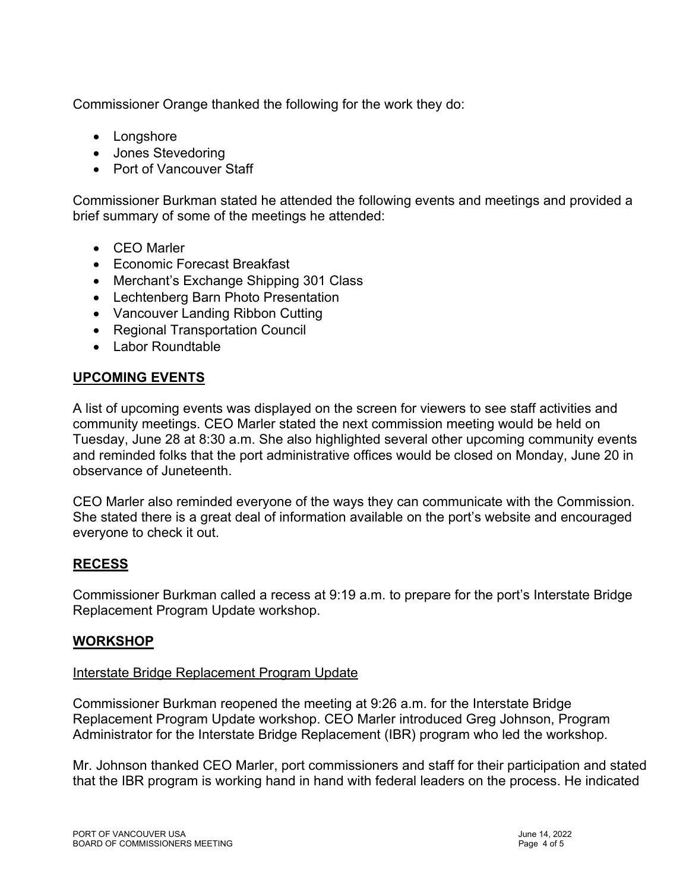Commissioner Orange thanked the following for the work they do:

- Longshore
- Jones Stevedoring
- Port of Vancouver Staff

Commissioner Burkman stated he attended the following events and meetings and provided a brief summary of some of the meetings he attended:

- CEO Marler
- Economic Forecast Breakfast
- Merchant's Exchange Shipping 301 Class
- Lechtenberg Barn Photo Presentation
- Vancouver Landing Ribbon Cutting
- Regional Transportation Council
- Labor Roundtable

#### **UPCOMING EVENTS**

A list of upcoming events was displayed on the screen for viewers to see staff activities and community meetings. CEO Marler stated the next commission meeting would be held on Tuesday, June 28 at 8:30 a.m. She also highlighted several other upcoming community events and reminded folks that the port administrative offices would be closed on Monday, June 20 in observance of Juneteenth.

CEO Marler also reminded everyone of the ways they can communicate with the Commission. She stated there is a great deal of information available on the port's website and encouraged everyone to check it out.

#### **RECESS**

Commissioner Burkman called a recess at 9:19 a.m. to prepare for the port's Interstate Bridge Replacement Program Update workshop.

#### **WORKSHOP**

#### Interstate Bridge Replacement Program Update

Commissioner Burkman reopened the meeting at 9:26 a.m. for the Interstate Bridge Replacement Program Update workshop. CEO Marler introduced Greg Johnson, Program Administrator for the Interstate Bridge Replacement (IBR) program who led the workshop.

Mr. Johnson thanked CEO Marler, port commissioners and staff for their participation and stated that the IBR program is working hand in hand with federal leaders on the process. He indicated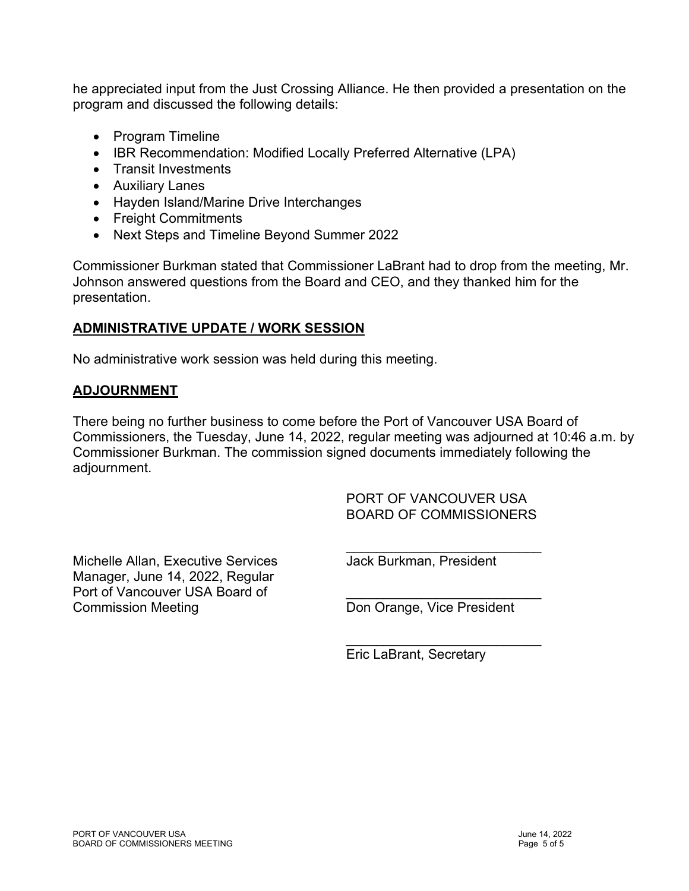he appreciated input from the Just Crossing Alliance. He then provided a presentation on the program and discussed the following details:

- Program Timeline
- IBR Recommendation: Modified Locally Preferred Alternative (LPA)
- Transit Investments
- Auxiliary Lanes
- Hayden Island/Marine Drive Interchanges
- Freight Commitments
- Next Steps and Timeline Beyond Summer 2022

Commissioner Burkman stated that Commissioner LaBrant had to drop from the meeting, Mr. Johnson answered questions from the Board and CEO, and they thanked him for the presentation.

#### **ADMINISTRATIVE UPDATE / WORK SESSION**

No administrative work session was held during this meeting.

#### **ADJOURNMENT**

There being no further business to come before the Port of Vancouver USA Board of Commissioners, the Tuesday, June 14, 2022, regular meeting was adjourned at 10:46 a.m. by Commissioner Burkman. The commission signed documents immediately following the adjournment.

 $\mathcal{L}_\mathcal{L}$  , which is a set of the contract of the contract of the contract of the contract of the contract of the contract of the contract of the contract of the contract of the contract of the contract of the contra

 $\mathcal{L}_\mathcal{L}$  , which is a set of the contract of the contract of the contract of the contract of the contract of the contract of the contract of the contract of the contract of the contract of the contract of the contra

 PORT OF VANCOUVER USA BOARD OF COMMISSIONERS

Michelle Allan, Executive Services **Jack Burkman, President** Manager, June 14, 2022, Regular Port of Vancouver USA Board of Commission Meeting **Commission Meeting Don Orange, Vice President** 

Eric LaBrant, Secretary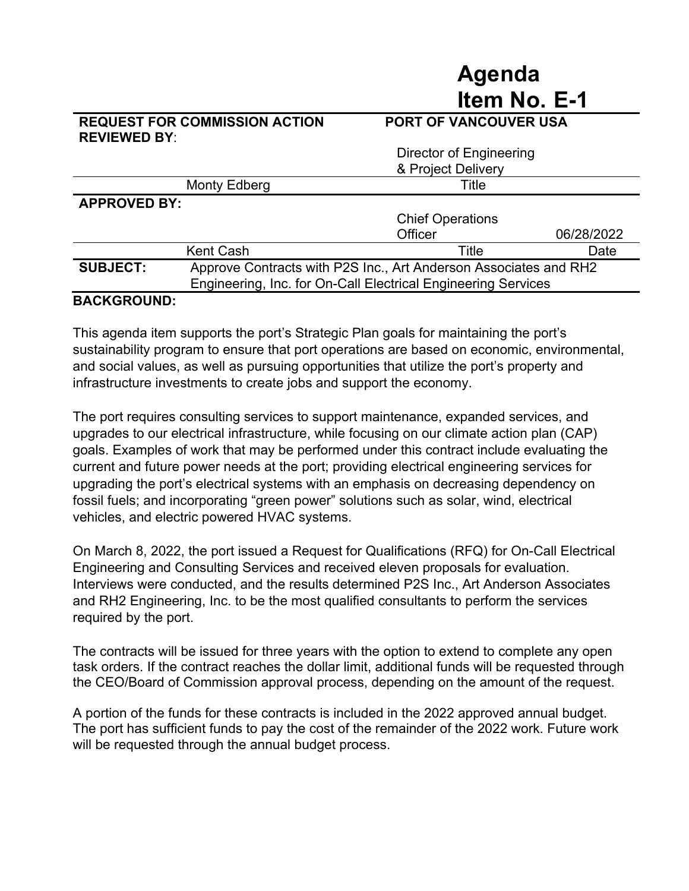## **Agenda Item No. E-1**

#### **REQUEST FOR COMMISSION ACTION PORT OF VANCOUVER USA REVIEWED BY**:

|                     | Director of Engineering                                                                                                           |                         |            |
|---------------------|-----------------------------------------------------------------------------------------------------------------------------------|-------------------------|------------|
|                     |                                                                                                                                   | & Project Delivery      |            |
|                     | Monty Edberg                                                                                                                      | Title                   |            |
| <b>APPROVED BY:</b> |                                                                                                                                   |                         |            |
|                     |                                                                                                                                   | <b>Chief Operations</b> |            |
|                     |                                                                                                                                   | Officer                 | 06/28/2022 |
|                     | <b>Kent Cash</b>                                                                                                                  | Title                   | Date       |
| <b>SUBJECT:</b>     | Approve Contracts with P2S Inc., Art Anderson Associates and RH2<br>Engineering, Inc. for On-Call Electrical Engineering Services |                         |            |
|                     |                                                                                                                                   |                         |            |

#### **BACKGROUND:**

This agenda item supports the port's Strategic Plan goals for maintaining the port's sustainability program to ensure that port operations are based on economic, environmental, and social values, as well as pursuing opportunities that utilize the port's property and infrastructure investments to create jobs and support the economy.

The port requires consulting services to support maintenance, expanded services, and upgrades to our electrical infrastructure, while focusing on our climate action plan (CAP) goals. Examples of work that may be performed under this contract include evaluating the current and future power needs at the port; providing electrical engineering services for upgrading the port's electrical systems with an emphasis on decreasing dependency on fossil fuels; and incorporating "green power" solutions such as solar, wind, electrical vehicles, and electric powered HVAC systems.

On March 8, 2022, the port issued a Request for Qualifications (RFQ) for On-Call Electrical Engineering and Consulting Services and received eleven proposals for evaluation. Interviews were conducted, and the results determined P2S Inc., Art Anderson Associates and RH2 Engineering, Inc. to be the most qualified consultants to perform the services required by the port.

The contracts will be issued for three years with the option to extend to complete any open task orders. If the contract reaches the dollar limit, additional funds will be requested through the CEO/Board of Commission approval process, depending on the amount of the request.

A portion of the funds for these contracts is included in the 2022 approved annual budget. The port has sufficient funds to pay the cost of the remainder of the 2022 work. Future work will be requested through the annual budget process.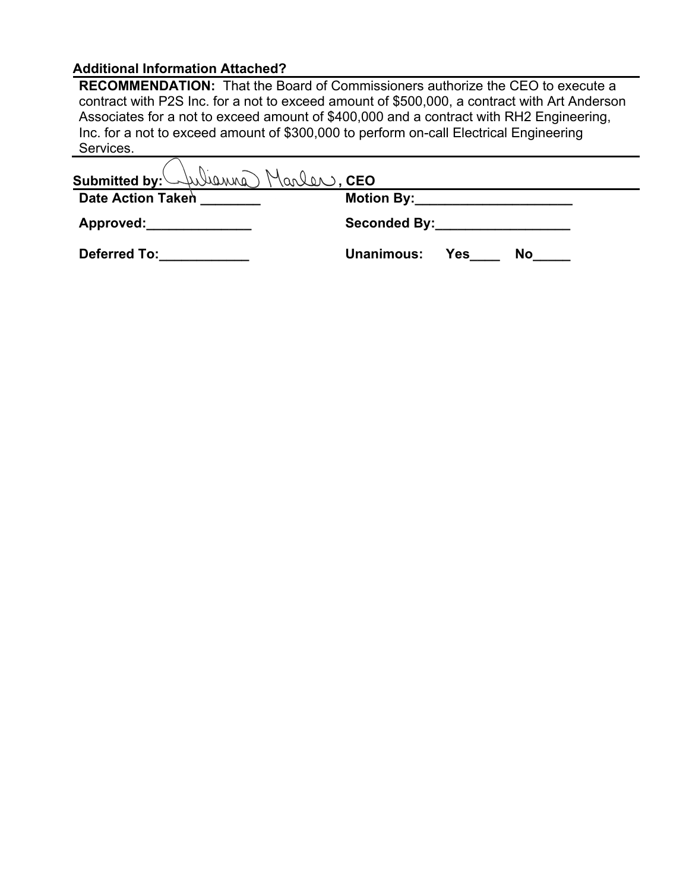#### **Additional Information Attached?**

**RECOMMENDATION:** That the Board of Commissioners authorize the CEO to execute a contract with P2S Inc. for a not to exceed amount of \$500,000, a contract with Art Anderson Associates for a not to exceed amount of \$400,000 and a contract with RH2 Engineering, Inc. for a not to exceed amount of \$300,000 to perform on-call Electrical Engineering Services.

| Submitted by: Wienna Marlen, CEO                                                                                                                                                                                               |                                                                                                                                                                                                                                |
|--------------------------------------------------------------------------------------------------------------------------------------------------------------------------------------------------------------------------------|--------------------------------------------------------------------------------------------------------------------------------------------------------------------------------------------------------------------------------|
| Date Action Taken                                                                                                                                                                                                              | Motion By: Motion By:                                                                                                                                                                                                          |
| Approved:                                                                                                                                                                                                                      | Seconded By: the control of the second state of the second state of the second state of the second state of the second state of the second state of the second state of the second state of the second state of the second sta |
| Deferred To: the control of the control of the control of the control of the control of the control of the control of the control of the control of the control of the control of the control of the control of the control of | Unanimous: Yes<br>No.                                                                                                                                                                                                          |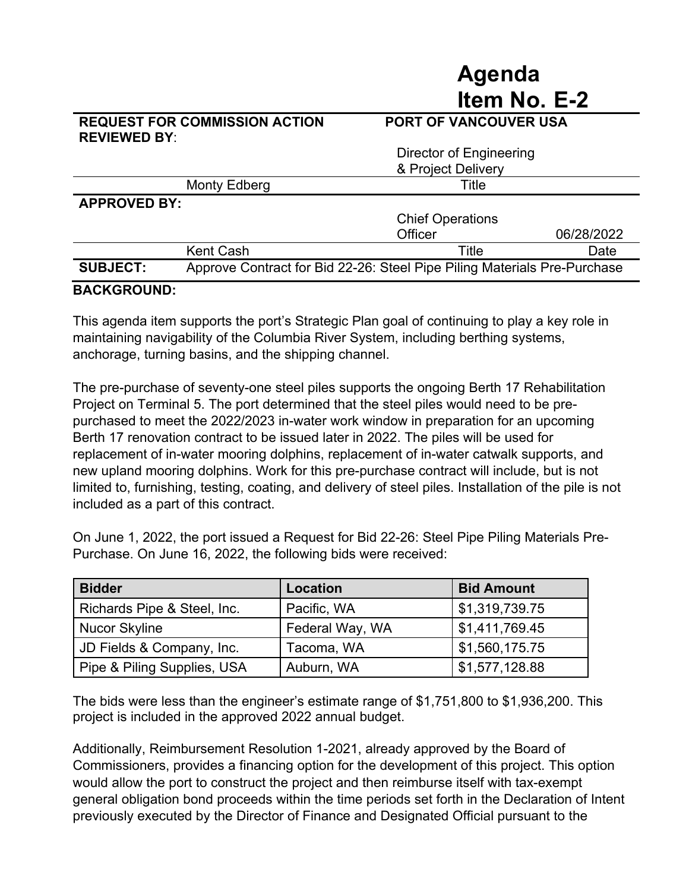#### **REQUEST FOR COMMISSION ACTION PORT OF VANCOUVER USA REVIEWED BY**:

**Agenda** 

**Item No. E-2** 

|                     |                                                                          | Director of Engineering<br>& Project Delivery |            |
|---------------------|--------------------------------------------------------------------------|-----------------------------------------------|------------|
|                     | Monty Edberg                                                             | Title                                         |            |
| <b>APPROVED BY:</b> |                                                                          |                                               |            |
|                     |                                                                          | <b>Chief Operations</b>                       |            |
|                     |                                                                          | Officer                                       | 06/28/2022 |
|                     | <b>Kent Cash</b>                                                         | Title                                         | Date       |
| <b>SUBJECT:</b>     | Approve Contract for Bid 22-26: Steel Pipe Piling Materials Pre-Purchase |                                               |            |
| 8   AIZARAI ILIR    |                                                                          |                                               |            |

#### **BACKGROUND:**

This agenda item supports the port's Strategic Plan goal of continuing to play a key role in maintaining navigability of the Columbia River System, including berthing systems, anchorage, turning basins, and the shipping channel.

The pre-purchase of seventy-one steel piles supports the ongoing Berth 17 Rehabilitation Project on Terminal 5. The port determined that the steel piles would need to be prepurchased to meet the 2022/2023 in-water work window in preparation for an upcoming Berth 17 renovation contract to be issued later in 2022. The piles will be used for replacement of in-water mooring dolphins, replacement of in-water catwalk supports, and new upland mooring dolphins. Work for this pre-purchase contract will include, but is not limited to, furnishing, testing, coating, and delivery of steel piles. Installation of the pile is not included as a part of this contract.

On June 1, 2022, the port issued a Request for Bid 22-26: Steel Pipe Piling Materials Pre-Purchase. On June 16, 2022, the following bids were received:

| <b>Bidder</b>               | Location        | <b>Bid Amount</b> |
|-----------------------------|-----------------|-------------------|
| Richards Pipe & Steel, Inc. | Pacific, WA     | \$1,319,739.75    |
| <b>Nucor Skyline</b>        | Federal Way, WA | \$1,411,769.45    |
| JD Fields & Company, Inc.   | Tacoma, WA      | \$1,560,175.75    |
| Pipe & Piling Supplies, USA | Auburn, WA      | \$1,577,128.88    |

The bids were less than the engineer's estimate range of \$1,751,800 to \$1,936,200. This project is included in the approved 2022 annual budget.

Additionally, Reimbursement Resolution 1-2021, already approved by the Board of Commissioners, provides a financing option for the development of this project. This option would allow the port to construct the project and then reimburse itself with tax-exempt general obligation bond proceeds within the time periods set forth in the Declaration of Intent previously executed by the Director of Finance and Designated Official pursuant to the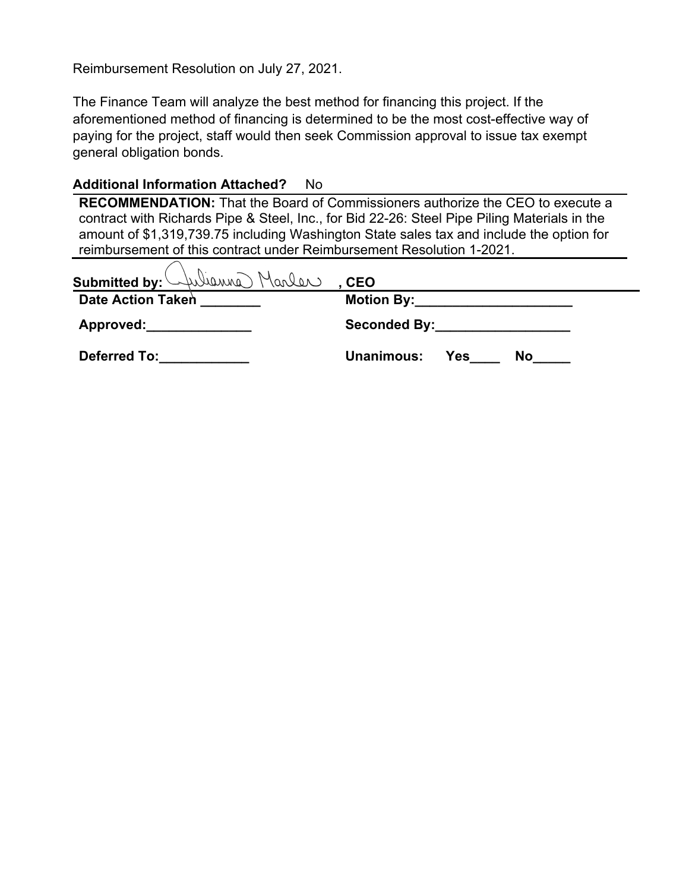Reimbursement Resolution on July 27, 2021.

The Finance Team will analyze the best method for financing this project. If the aforementioned method of financing is determined to be the most cost-effective way of paying for the project, staff would then seek Commission approval to issue tax exempt general obligation bonds.

#### **Additional Information Attached?** No

**RECOMMENDATION:** That the Board of Commissioners authorize the CEO to execute a contract with Richards Pipe & Steel, Inc., for Bid 22-26: Steel Pipe Piling Materials in the amount of \$1,319,739.75 including Washington State sales tax and include the option for reimbursement of this contract under Reimbursement Resolution 1-2021.

| Submitted by: Wiewis Marler        | , CEO                                                                                                                                                                                                                          |
|------------------------------------|--------------------------------------------------------------------------------------------------------------------------------------------------------------------------------------------------------------------------------|
| <b>Date Action Taken</b>           | Motion By: the control of the control of the control of the control of the control of the control of the control of the control of the control of the control of the control of the control of the control of the control of t |
| Approved: <u>_________________</u> | Seconded By: Network Seconded By:                                                                                                                                                                                              |
| <b>Deferred To:</b>                | Unanimous:<br><b>Yes</b><br><b>No</b>                                                                                                                                                                                          |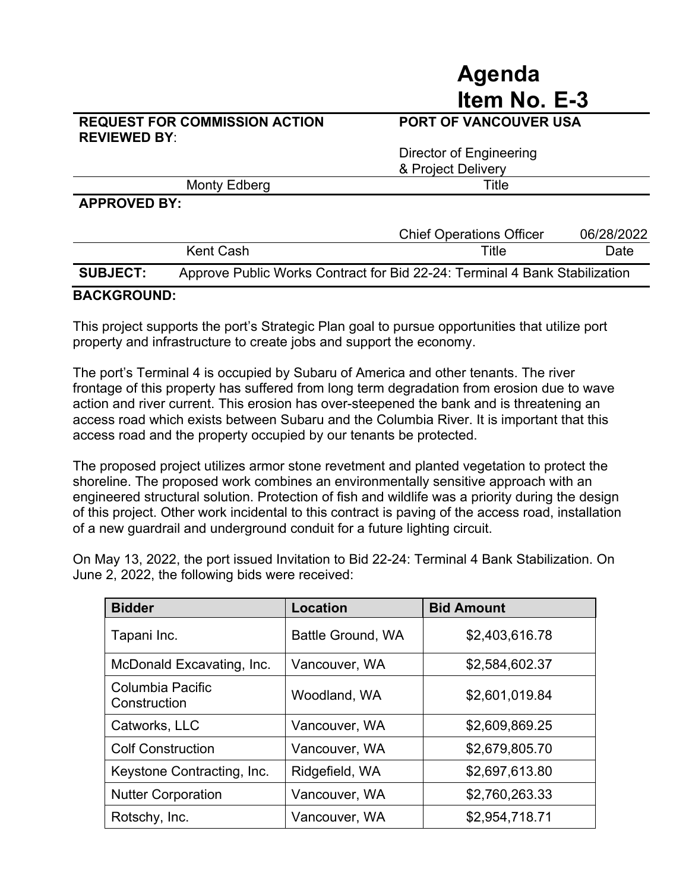#### **REQUEST FOR COMMISSION ACTION PORT OF VANCOUVER USA REVIEWED BY**:

# **Item No. E-3**

**Agenda** 

|                     | Director of Engineering<br>& Project Delivery |
|---------------------|-----------------------------------------------|
| Monty Edberg        | Title                                         |
| <b>APPROVED RY:</b> |                                               |

#### **APPROVED BY:**

|                 |           | <b>Chief Operations Officer</b>                                            | 06/28/2022 |
|-----------------|-----------|----------------------------------------------------------------------------|------------|
|                 | Kent Cash | Title                                                                      | Date       |
| <b>SUBJECT:</b> |           | Approve Public Works Contract for Bid 22-24: Terminal 4 Bank Stabilization |            |

#### **BACKGROUND:**

This project supports the port's Strategic Plan goal to pursue opportunities that utilize port property and infrastructure to create jobs and support the economy.

The port's Terminal 4 is occupied by Subaru of America and other tenants. The river frontage of this property has suffered from long term degradation from erosion due to wave action and river current. This erosion has over-steepened the bank and is threatening an access road which exists between Subaru and the Columbia River. It is important that this access road and the property occupied by our tenants be protected.

The proposed project utilizes armor stone revetment and planted vegetation to protect the shoreline. The proposed work combines an environmentally sensitive approach with an engineered structural solution. Protection of fish and wildlife was a priority during the design of this project. Other work incidental to this contract is paving of the access road, installation of a new guardrail and underground conduit for a future lighting circuit.

On May 13, 2022, the port issued Invitation to Bid 22-24: Terminal 4 Bank Stabilization. On June 2, 2022, the following bids were received:

| <b>Bidder</b>                    | <b>Location</b>          | <b>Bid Amount</b> |
|----------------------------------|--------------------------|-------------------|
| Tapani Inc.                      | <b>Battle Ground, WA</b> | \$2,403,616.78    |
| McDonald Excavating, Inc.        | Vancouver, WA            | \$2,584,602.37    |
| Columbia Pacific<br>Construction | Woodland, WA             | \$2,601,019.84    |
| Catworks, LLC                    | Vancouver, WA            | \$2,609,869.25    |
| <b>Colf Construction</b>         | Vancouver, WA            | \$2,679,805.70    |
| Keystone Contracting, Inc.       | Ridgefield, WA           | \$2,697,613.80    |
| <b>Nutter Corporation</b>        | Vancouver, WA            | \$2,760,263.33    |
| Rotschy, Inc.                    | Vancouver, WA            | \$2,954,718.71    |